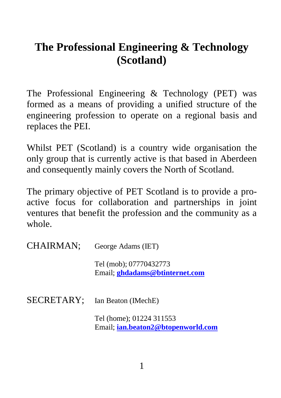# **The Professional Engineering & Technology (Scotland)**

The Professional Engineering & Technology (PET) was formed as a means of providing a unified structure of the engineering profession to operate on a regional basis and replaces the PEI.

Whilst PET (Scotland) is a country wide organisation the only group that is currently active is that based in Aberdeen and consequently mainly covers the North of Scotland.

The primary objective of PET Scotland is to provide a proactive focus for collaboration and partnerships in joint ventures that benefit the profession and the community as a whole.

| CHAIRMAN:  | George Adams (IET)                                             |
|------------|----------------------------------------------------------------|
|            | Tel (mob); 07770432773<br>Email: ghdadams@btinternet.com       |
| SECRETARY: | Ian Beaton (IMechE)                                            |
|            | Tel (home); 01224 311553<br>Email: ian.beaton2@btopenworld.com |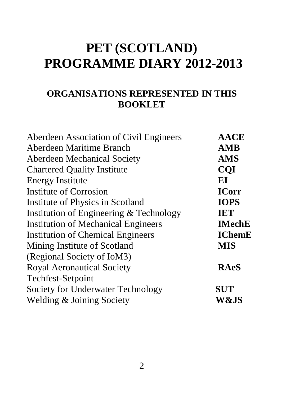# **PET (SCOTLAND) PROGRAMME DIARY 2012-2013**

### **ORGANISATIONS REPRESENTED IN THIS BOOKLET**

| Aberdeen Association of Civil Engineers | <b>AACE</b>   |
|-----------------------------------------|---------------|
| Aberdeen Maritime Branch                | AMB           |
| Aberdeen Mechanical Society             | AMS           |
| <b>Chartered Quality Institute</b>      | <b>COI</b>    |
| <b>Energy Institute</b>                 | ЕI            |
| Institute of Corrosion                  | <b>ICorr</b>  |
| Institute of Physics in Scotland        | <b>IOPS</b>   |
| Institution of Engineering & Technology | IET           |
| Institution of Mechanical Engineers     | <b>IMechE</b> |
| Institution of Chemical Engineers       | <b>IChemE</b> |
| Mining Institute of Scotland            | <b>MIS</b>    |
| (Regional Society of IoM3)              |               |
| Royal Aeronautical Society              | RAeS          |
| Techfest-Setpoint                       |               |
| Society for Underwater Technology       | SUT           |
| Welding & Joining Society               | W&JS          |
|                                         |               |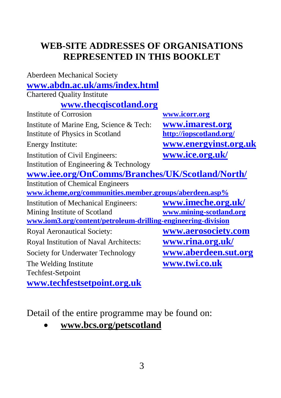# **WEB-SITE ADDRESSES OF ORGANISATIONS REPRESENTED IN THIS BOOKLET**

| Aberdeen Mechanical Society                                  |                         |
|--------------------------------------------------------------|-------------------------|
| www.abdn.ac.uk/ams/index.html                                |                         |
| <b>Chartered Quality Institute</b>                           |                         |
| www.thecqiscotland.org                                       |                         |
| Institute of Corrosion                                       | www.icorr.org           |
| Institute of Marine Eng, Science & Tech:                     | www.imarest.org         |
| Institute of Physics in Scotland                             | http://iopscotland.org/ |
| Energy Institute:                                            | www.energyinst.org.uk   |
| Institution of Civil Engineers:                              | www.ice.org.uk/         |
| Institution of Engineering & Technology                      |                         |
| www.iee.org/OnComms/Branches/UK/Scotland/North/              |                         |
| <b>Institution of Chemical Engineers</b>                     |                         |
| www.icheme.org/communities.member.groups/aberdeen.asp%       |                         |
| <b>Institution of Mechanical Engineers:</b>                  | www.imeche.org.uk/      |
| Mining Institute of Scotland                                 | www.mining-scotland.org |
| www.iom3.org/content/petroleum-drilling-engineering-division |                         |
| Royal Aeronautical Society:                                  | www.aerosociety.com     |
| Royal Institution of Naval Architects:                       | <u>www.rina.org.uk/</u> |
| Society for Underwater Technology                            | www.aberdeen.sut.org    |
| The Welding Institute                                        | www.twi.co.uk           |
| Techfest-Setpoint                                            |                         |
| www.techfestsetpoint.org.uk                                  |                         |

Detail of the entire programme may be found on:

• **www.bcs.org/petscotland**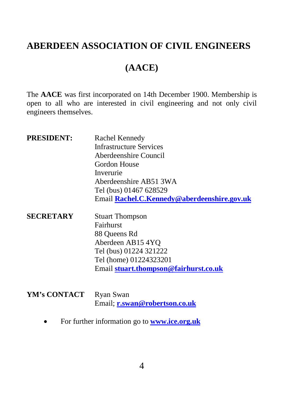#### **ABERDEEN ASSOCIATION OF CIVIL ENGINEERS**

# **(AACE)**

The **AACE** was first incorporated on 14th December 1900. Membership is open to all who are interested in civil engineering and not only civil engineers themselves.

| <b>PRESIDENT:</b> | Rachel Kennedy<br><b>Infrastructure Services</b><br>Aberdeenshire Council<br>Gordon House<br>Inverurie<br>Aberdeenshire AB51 3WA<br>Tel (bus) 01467 628529<br>Email Rachel.C.Kennedy@aberdeenshire.gov.uk |
|-------------------|-----------------------------------------------------------------------------------------------------------------------------------------------------------------------------------------------------------|
| <b>SECRETARY</b>  | <b>Stuart Thompson</b><br>Fairhurst<br>88 Queens Rd<br>Aberdeen AB154YO<br>Tel (bus) 01224 321222<br>Tel (home) 01224323201<br>Email stuart.thompson@fairhurst.co.uk                                      |

YM's CONTACT Ryan Swan Email; **[r.swan@robertson.co.uk](mailto:r.swan@robertson.co.uk)**

• For further information go to **[www.ice.org.uk](http://www.ice.org.uk/)**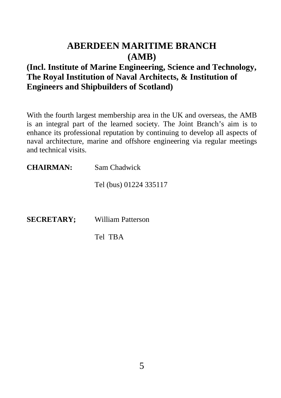### **ABERDEEN MARITIME BRANCH (AMB)**

#### **(Incl. Institute of Marine Engineering, Science and Technology, The Royal Institution of Naval Architects, & Institution of Engineers and Shipbuilders of Scotland)**

With the fourth largest membership area in the UK and overseas, the AMB is an integral part of the learned society. The Joint Branch's aim is to enhance its professional reputation by continuing to develop all aspects of naval architecture, marine and offshore engineering via regular meetings and technical visits.

| <b>CHAIRMAN:</b> | Sam Chadwick           |
|------------------|------------------------|
|                  | Tel (bus) 01224 335117 |
|                  |                        |

**SECRETARY;** William Patterson

Tel TBA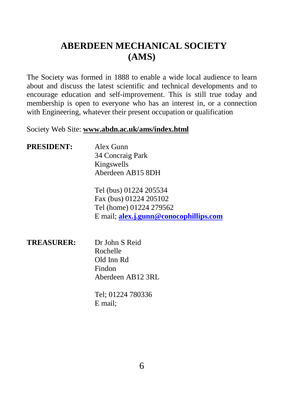# **ABERDEEN MECHANICAL SOCIETY (AMS)**

The Society was formed in 1888 to enable a wide local audience to learn about and discuss the latest scientific and technical developments and to encourage education and self-improvement. This is still true today and membership is open to everyone who has an interest in, or a connection with Engineering, whatever their present occupation or qualification

Society Web Site: **www.abdn.ac.uk/ams/index.html**

| <b>PRESIDENT:</b> | Alex Gunn                              |
|-------------------|----------------------------------------|
|                   | 34 Concraig Park                       |
|                   | Kingswells                             |
|                   | Aberdeen AB15 8DH                      |
|                   | Tel (bus) 01224 205534                 |
|                   | Fax (bus) 01224 205102                 |
|                   | Tel (home) 01224 279562                |
|                   | E mail; alex.j.gunn@conocophillips.com |
|                   |                                        |
|                   |                                        |

| Dr John S Reid    |
|-------------------|
| Rochelle          |
| Old Inn Rd        |
| Findon            |
| Aberdeen AB12 3RL |
|                   |

Tel; 01224 780336 E mail;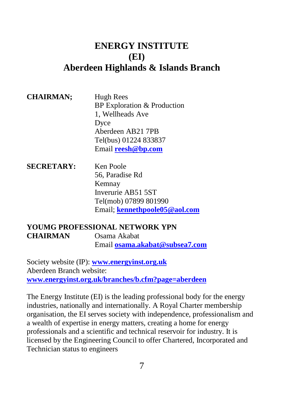#### **ENERGY INSTITUTE (EI) Aberdeen Highlands & Islands Branch**

#### **CHAIRMAN;** Hugh Rees BP Exploration & Production 1, Wellheads Ave Dyce Aberdeen AB21 7PB Tel(bus) 01224 833837 Email **[reesh@bp.com](mailto:reesh@bp.com)**

**SECRETARY:** Ken Poole 56, Paradise Rd Kemnay Inverurie AB51 5ST Tel(mob) 07899 801990 Email; **[kennethpoole05@aol.com](mailto:kennethpoole05@aol.com)**

#### **YOUMG PROFESSIONAL NETWORK YPN CHAIRMAN** Osama Akabat Email **[osama.akabat@subsea7.com](mailto:osama.akabat@subsea7.com)**

Society website (IP): **[www.energyinst.org.uk](http://www.energyinst.org.uk/)** Aberdeen Branch website: **[www.energyinst.org.uk/branches/b.cfm?page=aberdeen](http://www.energyinst.org.uk/branches/b.cfm?page=aberdeen)**

The Energy Institute (EI) is the leading professional body for the energy industries, nationally and internationally. A Royal Charter membership organisation, the EI serves society with independence, professionalism and a wealth of expertise in energy matters, creating a home for energy professionals and a scientific and technical reservoir for industry. It is licensed by the Engineering Council to offer Chartered, Incorporated and Technician status to engineers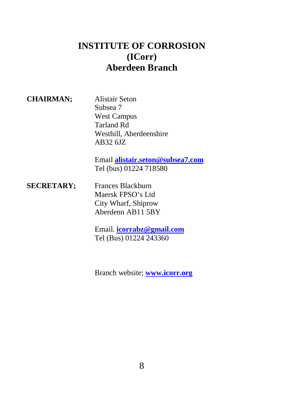### **INSTITUTE OF CORROSION (ICorr) Aberdeen Branch**

| <b>CHAIRMAN;</b> |  |
|------------------|--|
|------------------|--|

**CHAIRMAN;** Alistair Seton Subsea 7 West Campus Tarland Rd Westhill, Aberdeenshire AB32 6JZ

Email **[alistair.seton@subsea7.com](mailto:alistair.seton@subsea7.com)** Tel (bus) 01224 718580

**SECRETARY;** Frances Blackburn Maersk FPSO's Ltd City Wharf, Shiprow Aberdenn AB11 5BY

> Email. **[icorrabz@gmail.com](mailto:icorrabz@gmail.com)** Tel (Bus) 01224 243360

Branch website; **[www.icorr.org](http://www.icorr.org/)**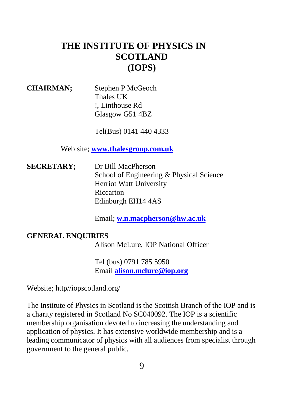# **THE INSTITUTE OF PHYSICS IN SCOTLAND (IOPS)**

**CHAIRMAN;** Stephen P McGeoch Thales UK !, Linthouse Rd Glasgow G51 4BZ

Tel(Bus) 0141 440 4333

Web site; **[www.thalesgroup.com.uk](http://www.thalesgroup.com.uk/)**

**SECRETARY;** Dr Bill MacPherson School of Engineering & Physical Science Herriot Watt University Riccarton Edinburgh EH14 4AS

Email; **[w.n.macpherson@hw.ac.uk](mailto:w.n.macpherson@hw.ac.uk)**

#### **GENERAL ENQUIRIES**

Alison McLure, IOP National Officer

Tel (bus) 0791 785 5950 Email **[alison.mclure@iop.org](mailto:alison.mclure@iop.org)**

Website; http//iopscotland.org/

The Institute of Physics in Scotland is the Scottish Branch of the IOP and is a charity registered in Scotland No SC040092. The IOP is a scientific membership organisation devoted to increasing the understanding and application of physics. It has extensive worldwide membership and is a leading communicator of physics with all audiences from specialist through government to the general public.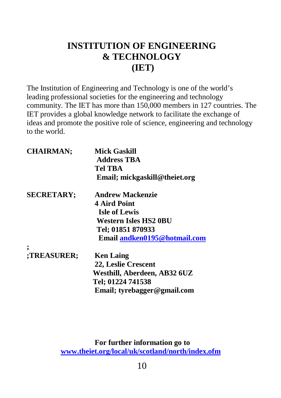# **INSTITUTION OF ENGINEERING & TECHNOLOGY (IET)**

The Institution of Engineering and Technology is one of the world's leading professional societies for the engineering and technology community. The IET has more than 150,000 members in 127 countries. The IET provides a global knowledge network to facilitate the exchange of ideas and promote the positive role of science, engineering and technology to the world.

| Mick Gaskill<br><b>Address TBA</b> |
|------------------------------------|
| Tel TRA                            |
| Email; mickgaskill@theiet.org      |
| <b>Andrew Mackenzie</b>            |
| <b>4 Aird Point</b>                |
| <b>Isle of Lewis</b>               |
| Western Isles HS2 0BU              |
| Tel; 01851 870933                  |
| Email andken0195@hotmail.com       |
|                                    |
| <b>Ken Laing</b>                   |
| 22, Leslie Crescent                |
| Westhill, Aberdeen, AB32 6UZ       |
| Tel; 01224 741538                  |
| Email; tyrebagger@gmail.com        |
|                                    |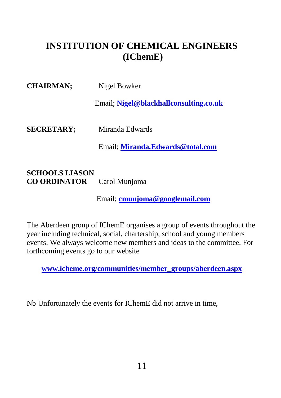# **INSTITUTION OF CHEMICAL ENGINEERS (IChemE)**

| <b>CHAIRMAN:</b>  | Nigel Bowker                           |
|-------------------|----------------------------------------|
|                   | Email: Nigel@blackhallconsulting.co.uk |
| <b>SECRETARY:</b> | Miranda Edwards                        |
|                   | Email: Miranda.Edwards@total.com       |

**SCHOOLS LIASON CO ORDINATOR** Carol Munjoma

Email; **[cmunjoma@googlemail.com](mailto:cmunjoma@googlemail.com)**

The Aberdeen group of IChemE organises a group of events throughout the year including technical, social, chartership, school and young members events. We always welcome new members and ideas to the committee. For forthcoming events go to our website

**[www.icheme.org/communities/member\\_groups/aberdeen.aspx](http://www.icheme.org/communities/member_groups/aberdeen.aspx)**

Nb Unfortunately the events for IChemE did not arrive in time,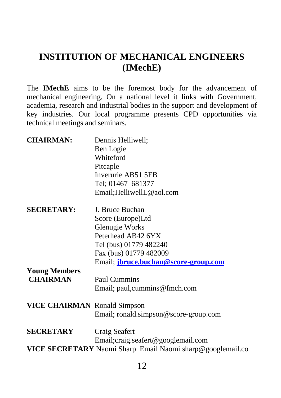# **INSTITUTION OF MECHANICAL ENGINEERS (IMechE)**

The **IMechE** aims to be the foremost body for the advancement of mechanical engineering. On a national level it links with Government, academia, research and industrial bodies in the support and development of key industries. Our local programme presents CPD opportunities via technical meetings and seminars.

| <b>CHAIRMAN:</b>                                                               | Dennis Helliwell;<br>Ben Logie<br>Whiteford<br>Pitcaple<br>Inverurie AB51 5EB<br>Tel; 01467 681377<br>Email; Helliwell L@aol.com                             |
|--------------------------------------------------------------------------------|--------------------------------------------------------------------------------------------------------------------------------------------------------------|
| <b>SECRETARY:</b>                                                              | J. Bruce Buchan<br>Score (Europe)Ltd<br>Glenugie Works<br>Peterhead AB42 6YX<br>Tel (bus) 01779 482240<br>Fax (bus) 01779 482009                             |
| <b>Young Members</b><br><b>CHAIRMAN</b><br><b>VICE CHAIRMAN</b> Ronald Simpson | Email; jbruce.buchan@score-group.com<br>Paul Cummins<br>Email; paul, cummins@fmch.com                                                                        |
| <b>SECRETARY</b>                                                               | Email; ronald.simpson@score-group.com<br>Craig Seafert<br>Email; craig. seafert@googlemail.com<br>VICE SECRETARY Naomi Sharp Email Naomi sharp@googlemail.co |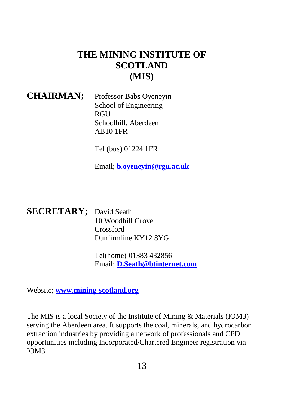# **THE MINING INSTITUTE OF SCOTLAND (MIS)**

#### **CHAIRMAN;** Professor Babs Oyeneyin School of Engineering **RGU** Schoolhill, Aberdeen AB10 1FR

Tel (bus) 01224 1FR

Email; **[b.oyeneyin@rgu.ac.uk](mailto:b.oyeneyin@rgu.ac.uk)**

#### **SECRETARY;** David Seath

10 Woodhill Grove Crossford Dunfirmline KY12 8YG

Tel(home) 01383 432856 Email; **[D.Seath@btinternet.com](mailto:D.Seath@btinternet.com)**

Website; **[www.mining-scotland.org](http://www.mining-scotland.org/)**

The MIS is a local Society of the Institute of Mining & Materials (IOM3) serving the Aberdeen area. It supports the coal, minerals, and hydrocarbon extraction industries by providing a network of professionals and CPD opportunities including Incorporated/Chartered Engineer registration via IOM3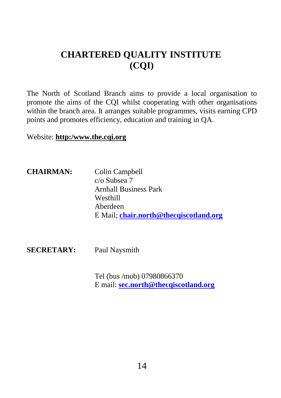# **CHARTERED QUALITY INSTITUTE (CQI)**

The North of Scotland Branch aims to provide a local organisation to promote the aims of the CQI whilst cooperating with other organisations within the branch area. It arranges suitable programmes, visits earning CPD points and promotes efficiency, education and training in QA.

Website: **http:/www.the.cqi.org**

**CHAIRMAN:** Colin Campbell c/o Subsea 7 Arnhall Business Park Westhill Aberdeen E Mail; **[chair.north@thecqiscotland.org](mailto:chair.north@thecqiscotland.org)**

**SECRETARY:** Paul Naysmith

Tel (bus /mob) 07980866370 E mail: **[sec.north@thecqiscotland.org](mailto:sec.north@thecqiscotland.org)**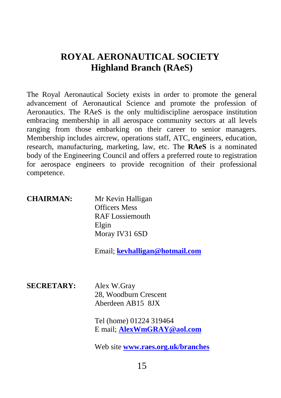## **ROYAL AERONAUTICAL SOCIETY Highland Branch (RAeS)**

The Royal Aeronautical Society exists in order to promote the general advancement of Aeronautical Science and promote the profession of Aeronautics. The RAeS is the only multidiscipline aerospace institution embracing membership in all aerospace community sectors at all levels ranging from those embarking on their career to senior managers. Membership includes aircrew, operations staff, ATC, engineers, education, research, manufacturing, marketing, law, etc. The **RAeS** is a nominated body of the Engineering Council and offers a preferred route to registration for aerospace engineers to provide recognition of their professional competence.

| <b>CHAIRMAN:</b>  | Mr Kevin Halligan<br><b>Officers Mess</b><br>RAF Lossiemouth<br>Elgin<br>Moray IV31 6SD<br>Email; kevhalligan@hotmail.com |
|-------------------|---------------------------------------------------------------------------------------------------------------------------|
| <b>SECRETARY:</b> | Alex W.Gray<br>28, Woodburn Crescent<br>Aberdeen AB15 8JX                                                                 |

Tel (home) 01224 319464 E mail; **[AlexWmGRAY@aol.com](mailto:AlexWmGRAY@aol.com)**

Web site **[www.raes.org.uk/branches](http://www.raes.org.uk/branches)**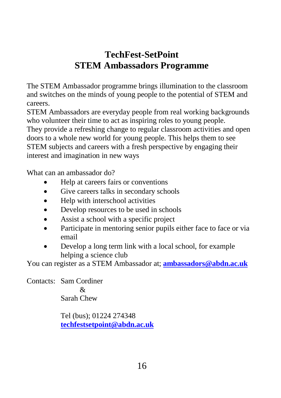# **TechFest-SetPoint STEM Ambassadors Programme**

The STEM Ambassador programme brings illumination to the classroom and switches on the minds of young people to the potential of STEM and careers.

STEM Ambassadors are everyday people from real working backgrounds who volunteer their time to act as inspiring roles to young people.

They provide a refreshing change to regular classroom activities and open doors to a whole new world for young people. This helps them to see STEM subjects and careers with a fresh perspective by engaging their interest and imagination in new ways

What can an ambassador do?

- Help at careers fairs or conventions
- Give careers talks in secondary schools
- Help with interschool activities
- Develop resources to be used in schools
- Assist a school with a specific project
- Participate in mentoring senior pupils either face to face or via email
- Develop a long term link with a local school, for example helping a science club

You can register as a STEM Ambassador at; **[ambassadors@abdn.ac.uk](mailto:ambassadors@abdn.ac.uk)**

Contacts: Sam Cordiner & Sarah Chew

> Tel (bus); 01224 274348 **[techfestsetpoint@abdn.ac.uk](mailto:techfestsetpoint@abdn.ac.uk)**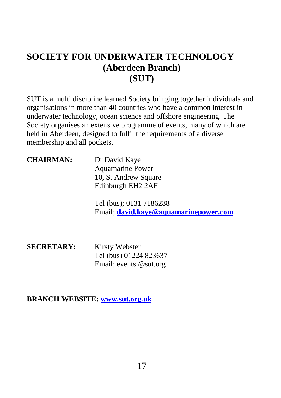# **SOCIETY FOR UNDERWATER TECHNOLOGY (Aberdeen Branch) (SUT)**

SUT is a multi discipline learned Society bringing together individuals and organisations in more than 40 countries who have a common interest in underwater technology, ocean science and offshore engineering. The Society organises an extensive programme of events, many of which are held in Aberdeen, designed to fulfil the requirements of a diverse membership and all pockets.

| <b>CHAIRMAN:</b> | Dr David Kaye        |
|------------------|----------------------|
|                  | Aquamarine Power     |
|                  | 10, St Andrew Square |
|                  | Edinburgh EH2 2AF    |

Tel (bus); 0131 7186288 Email; **[david.kaye@aquamarinepower.com](mailto:david.kaye@aquamarinepower.com)**

**SECRETARY:** Kirsty Webster Tel (bus) 01224 823637 Email; events @sut.org

**BRANCH WEBSITE[: www.sut.org.uk](http://www.sut.org.uk/)**